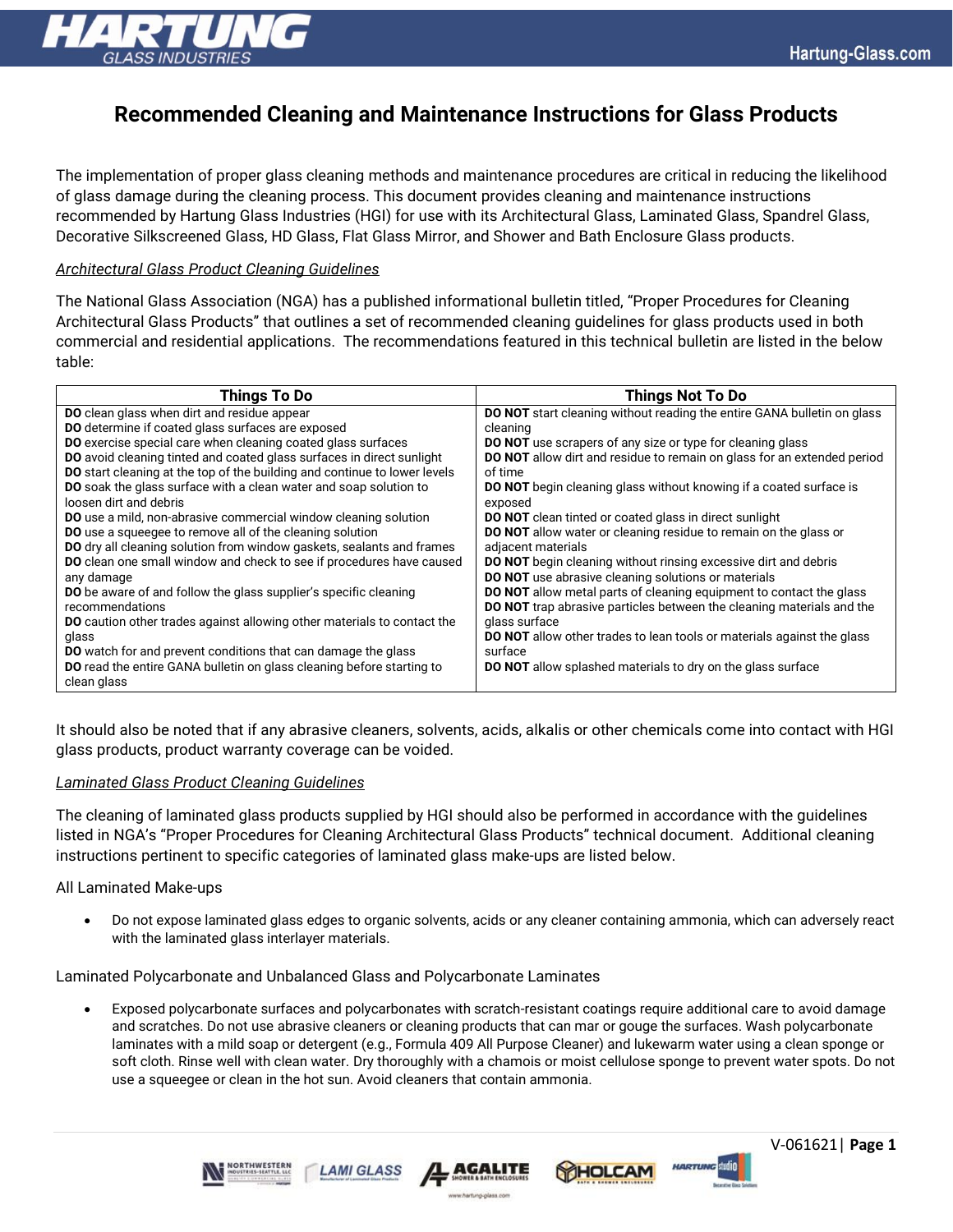

# **Recommended Cleaning and Maintenance Instructions for Glass Products**

The implementation of proper glass cleaning methods and maintenance procedures are critical in reducing the likelihood of glass damage during the cleaning process. This document provides cleaning and maintenance instructions recommended by Hartung Glass Industries (HGI) for use with its Architectural Glass, Laminated Glass, Spandrel Glass, Decorative Silkscreened Glass, HD Glass, Flat Glass Mirror, and Shower and Bath Enclosure Glass products.

# *Architectural Glass Product Cleaning Guidelines*

The National Glass Association (NGA) has a published informational bulletin titled, "Proper Procedures for Cleaning Architectural Glass Products" that outlines a set of recommended cleaning guidelines for glass products used in both commercial and residential applications. The recommendations featured in this technical bulletin are listed in the below table:

| Things To Do                                                                     | Things Not To Do                                                               |
|----------------------------------------------------------------------------------|--------------------------------------------------------------------------------|
| <b>DO</b> clean glass when dirt and residue appear                               | <b>DO NOT</b> start cleaning without reading the entire GANA bulletin on glass |
| DO determine if coated glass surfaces are exposed                                | cleaning                                                                       |
| DO exercise special care when cleaning coated glass surfaces                     | <b>DO NOT</b> use scrapers of any size or type for cleaning glass              |
| DO avoid cleaning tinted and coated glass surfaces in direct sunlight            | <b>DO NOT</b> allow dirt and residue to remain on glass for an extended period |
| <b>DO</b> start cleaning at the top of the building and continue to lower levels | of time                                                                        |
| DO soak the glass surface with a clean water and soap solution to                | <b>DO NOT</b> begin cleaning glass without knowing if a coated surface is      |
| loosen dirt and debris                                                           | exposed                                                                        |
| DO use a mild, non-abrasive commercial window cleaning solution                  | <b>DO NOT</b> clean tinted or coated glass in direct sunlight                  |
| <b>DO</b> use a squeegee to remove all of the cleaning solution                  | <b>DO NOT</b> allow water or cleaning residue to remain on the glass or        |
| DO dry all cleaning solution from window gaskets, sealants and frames            | adjacent materials                                                             |
| DO clean one small window and check to see if procedures have caused             | <b>DO NOT</b> begin cleaning without rinsing excessive dirt and debris         |
| any damage                                                                       | <b>DO NOT</b> use abrasive cleaning solutions or materials                     |
| <b>DO</b> be aware of and follow the glass supplier's specific cleaning          | <b>DO NOT</b> allow metal parts of cleaning equipment to contact the glass     |
| recommendations                                                                  | <b>DO NOT</b> trap abrasive particles between the cleaning materials and the   |
| DO caution other trades against allowing other materials to contact the          | glass surface                                                                  |
| glass                                                                            | <b>DO NOT</b> allow other trades to lean tools or materials against the glass  |
| <b>DO</b> watch for and prevent conditions that can damage the glass             | surface                                                                        |
| DO read the entire GANA bulletin on glass cleaning before starting to            | <b>DO NOT</b> allow splashed materials to dry on the glass surface             |
| clean glass                                                                      |                                                                                |

It should also be noted that if any abrasive cleaners, solvents, acids, alkalis or other chemicals come into contact with HGI glass products, product warranty coverage can be voided.

## *Laminated Glass Product Cleaning Guidelines*

The cleaning of laminated glass products supplied by HGI should also be performed in accordance with the guidelines listed in NGA's "Proper Procedures for Cleaning Architectural Glass Products" technical document. Additional cleaning instructions pertinent to specific categories of laminated glass make-ups are listed below.

## All Laminated Make-ups

• Do not expose laminated glass edges to organic solvents, acids or any cleaner containing ammonia, which can adversely react with the laminated glass interlayer materials.

Laminated Polycarbonate and Unbalanced Glass and Polycarbonate Laminates

**AMI GLASS** 

• Exposed polycarbonate surfaces and polycarbonates with scratch-resistant coatings require additional care to avoid damage and scratches. Do not use abrasive cleaners or cleaning products that can mar or gouge the surfaces. Wash polycarbonate laminates with a mild soap or detergent (e.g., Formula 409 All Purpose Cleaner) and lukewarm water using a clean sponge or soft cloth. Rinse well with clean water. Dry thoroughly with a chamois or moist cellulose sponge to prevent water spots. Do not use a squeegee or clean in the hot sun. Avoid cleaners that contain ammonia.